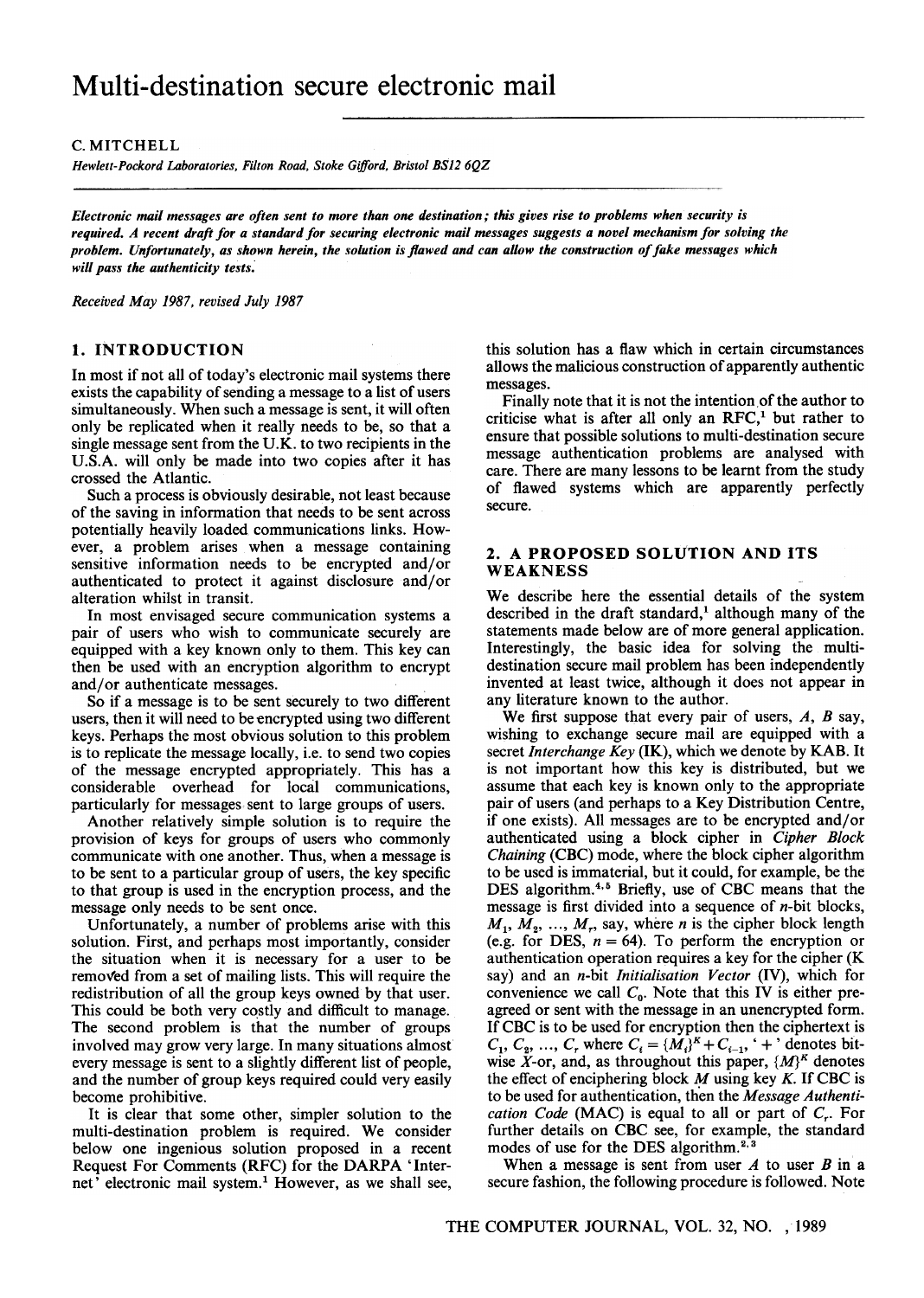## C. MITCHELL

Hewlett-Pockord Laboratories, Filton Road, Stoke Gifford, Bristol BS12 6QZ

Electronic mail messages are often sent to more than one destination; this gives rise to problems when security is required. A recent draft for a standard for securing electronic mail messages suggests a novel mechanism for solving the problem. Unfortunately, as shown herein, the solution is flawed and can allow the construction of fake messages which will pass the authenticity tests.

Received May 1987, revised July 1987

# 1. INTRODUCTION

In most if not all of today's electronic mail systems there exists the capability of sending a message to a list of users simultaneously. When such a message is sent, it will often only be replicated when it really needs to be, so that a single message sent from the U.K. to two recipients in the U.S.A. will only be made into two copies after it has crossed the Atlantic.

Such a process is obviously desirable, not least because of the saving in information that needs to be sent across potentially heavily loaded communications links. However, a problem arises when a message containing sensitive information needs to be encrypted and/or authenticated to protect it against disclosure and/or alteration whilst in transit.

In most envisaged secure communication systems a pair of users who wish to communicate securely are equipped with a key known only to them. This key can then be used with an encryption algorithm to encrypt and/or authenticate messages.

So if a message is to be sent securely to two different users, then it will need to be encrypted using two different keys. Perhaps the most obvious solution to this problem is to replicate the message locally, i.e. to send two copies of the message encrypted appropriately. This has a considerable overhead for local communications, particularly for messages sent to large groups of users.

Another relatively simple solution is to require the provision of keys for groups of users who commonly communicate with one another. Thus, when a message is to be sent to a particular group of users, the key specific to that group is used in the encryption process, and the message only needs to be sent once.

Unfortunately, a number of problems arise with this solution. First, and perhaps most importantly, consider the situation when it is necessary for a user to be removed from a set of mailing lists. This will require the redistribution of all the group keys owned by that user. This could be both very costly and difficult to manage. The second problem is that the number of groups involved may grow very large. In many situations almost every message is sent to a slightly different list of people, and the number of group keys required could very easily become prohibitive.

It is clear that some other, simpler solution to the multi-destination problem is required. We consider below one ingenious solution proposed in a recent Request For Comments (RFC) for the DARPA 'Internet' electronic mail system.<sup>1</sup> However, as we shall see, this solution has a flaw which in certain circumstances allows the malicious construction of apparently authentic messages.

Finally note that it is not the intention of the author to criticise what is after all only an RFC,<sup>1</sup> but rather to ensure that possible solutions to multi-destination secure message authentication problems are analysed with care. There are many lessons to be learnt from the study of flawed systems which are apparently perfectly secure.

## 2. A PROPOSED SOLUTION AND ITS WEAKNESS

We describe here the essential details of the system described in the draft standard,<sup>1</sup> although many of the statements made below are of more general application. Interestingly, the basic idea for solving the multidestination secure mail problem has been independently invented at least twice, although it does not appear in any literature known to the author.

We first suppose that every pair of users,  $A$ ,  $B$  say, wishing to exchange secure mail are equipped with a secret *Interchange Key* (IK), which we denote by KAB. It is not important how this key is distributed, but we assume that each key is known only to the appropriate pair of users (and perhaps to a Key Distribution Centre, if one exists). All messages are to be encrypted and/or authenticated using a block cipher in Cipher Block Chaining (CBC) mode, where the block cipher algorithm to be used is immaterial, but it could, for example, be the DES algorithm.4.5 Briefly, use of CBC means that the message is first divided into a sequence of  $n$ -bit blocks,  $M_1, M_2, ..., M_r$ , say, where *n* is the cipher block length (e.g. for DES,  $n = 64$ ). To perform the encryption or authentication operation requires a key for the cipher (K say) and an *n*-bit *Initialisation Vector* (IV), which for convenience we call  $C_0$ . Note that this IV is either preagreed or sent with the message in an unencrypted form. If CBC is to be used for encryption then the ciphertext is  $C_1, C_2, ..., C_r$  where  $C_i = \{M_i\}^K + C_{i-1}$ , '+' denotes bitwise X-or, and, as throughout this paper,  $\{M\}^K$  denotes the effect of enciphering block  $M$  using key  $K$ . If CBC is to be used for authentication, then the Message Authentication Code (MAC) is equal to all or part of  $C_r$ . For further details on CBC see, for example, the standard modes of use for the DES algorithm.<sup>2, 3</sup>

When a message is sent from user  $A$  to user  $B$  in a secure fashion, the following procedure is followed. Note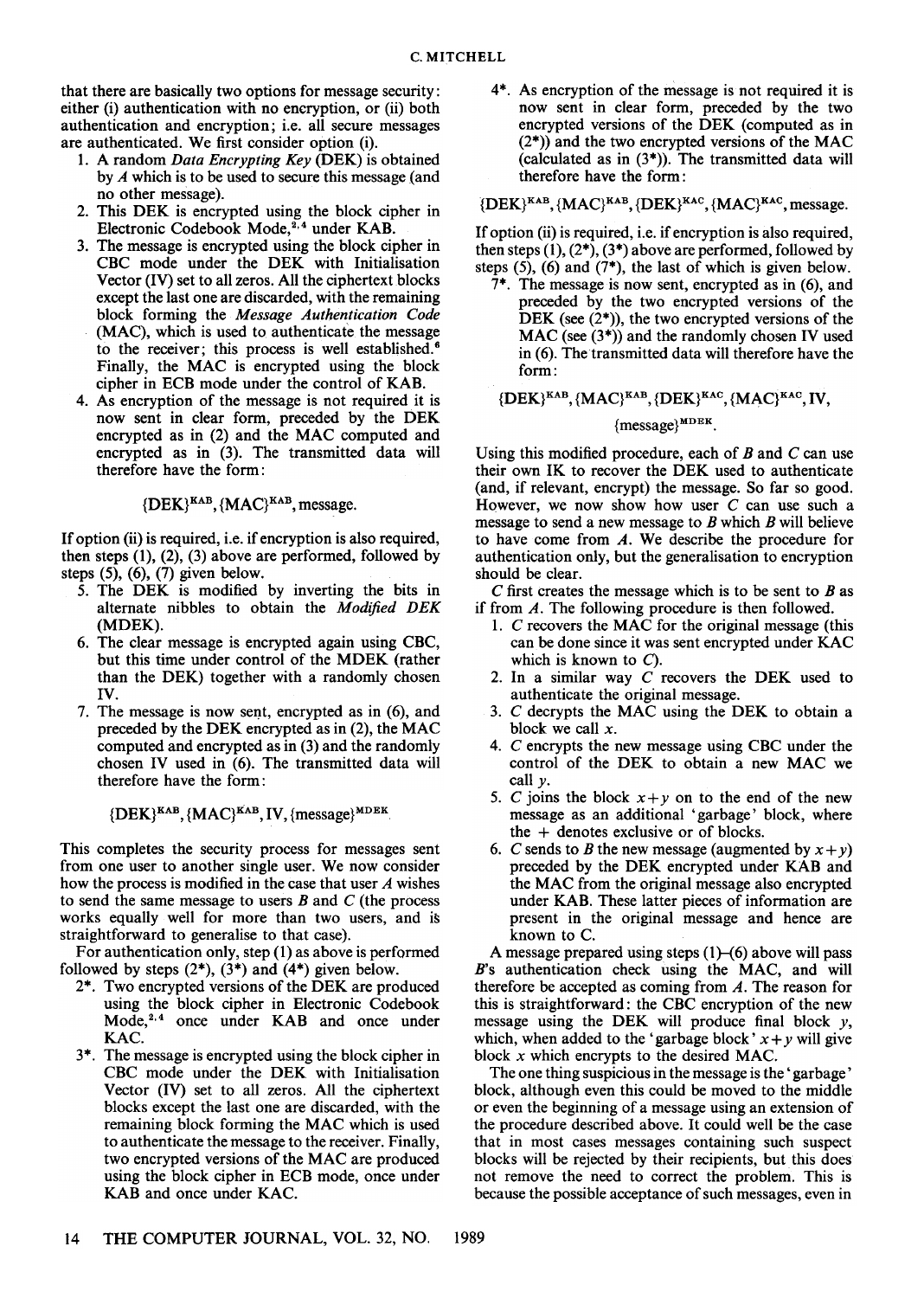that there are basically two options for message security: either (i) authentication with no encryption, or (ii) both authentication and encryption; i.e. all secure messages are authenticated. We first consider option (i).

- 1. A random Data Encrypting Key (DEK) is obtained by A which is to be used to secure this message (and no other message).
- 2. This DEK is encrypted using the block cipher in Electronic Codebook Mode,<sup>2,4</sup> under KAB.
- 3. The message is encrypted using the block cipher in CBC mode under the DEK with Initialisation Vector (IV) set to all zeros. All the ciphertext blocks except the last one are discarded, with the remaining block forming the Message Authentication Code (MAC), which is used to authenticate the message to the receiver; this process is well established.<sup>6</sup> Finally, the MAC is encrypted using the block cipher in ECB mode under the control of KAB.
- 4. As encryption of the message is not required it is now sent in clear form, preceded by the DEK encrypted as in (2) and the MAC computed and encrypted as in (3). The transmitted data will therefore have the form:

 ${ {\rm \{DEK} \}}^{\rm KAB}, { {\rm \{MAC \}}}^{\rm KAB},$  message.

If option (ii) is required, i.e. if encryption is also required, then steps  $(1)$ ,  $(2)$ ,  $(3)$  above are performed, followed by steps (5), (6), (7) given below.

- 5. The DEK is modified by inverting the bits in alternate nibbles to obtain the Modified DEK (MDEK).
- 6. The clear message is encrypted again using CBC, but this time under control of the MDEK (rather than the DEK) together with a randomly chosen IV.
- 7. The message is now sent, encrypted as in  $(6)$ , and preceded by the DEK encrypted as in (2), the MAC computed and encrypted as in (3) and the randomly chosen IV used in (6). The transmitted data will therefore have the form:

 ${ {\rm \{DEK\}^{KAB},\{MAC\}^{KAB},\{V,\{message\}^{MDEK}}. }}$ 

This completes the security process for messages sent from one user to another single user. We now consider how the process is modified in the case that user A wishes to send the same message to users  $B$  and  $C$  (the process works equally well for more than two users, and is straightforward to generalise to that case).

For authentication only, step (1) as above is performed followed by steps  $(2^*)$ ,  $(3^*)$  and  $(4^*)$  given below.

- 2\*. Two encrypted versions of the DEK are produced using the block cipher in Electronic Codebook Mode,<sup>2,4</sup> once under KAB and once under KAC.
- 3\*. The message is encrypted using the block cipher in CBC mode under the DEK with Initialisation Vector (IV) set to all zeros. All the ciphertext blocks except the last one are discarded, with the remaining block forming the MAC which is used to authenticate the message to the receiver. Finally, two encrypted versions of the MAC are produced using the block cipher in ECB mode, once under KAB and once under KAC.

4\*. As encryption of the message is not required it is now sent in clear form, preceded by the two encrypted versions of the DEK (computed as in  $(2^*)$ ) and the two encrypted versions of the MAC (calculated as in  $(3^*)$ ). The transmitted data will therefore have the form:

 ${ {\rm \{DEK\}^{KAB},\{MAC\}^{KAB},\{DEK\}^{KAC},\{MAC\}^{KAC},}}$  message.

If option (ii) is required, i.e. if encryption is also required, then steps  $(1)$ ,  $(2^*)$ ,  $(3^*)$  above are performed, followed by steps (5), (6) and (7\*), the last of which is given below.

7\*. The message is now sent, encrypted as in (6), and preceded by the two encrypted versions of the DEK (see  $(2^*)$ ), the two encrypted versions of the  $MAC$  (see  $(3<sup>*</sup>)$ ) and the randomly chosen IV used in  $(6)$ . The transmitted data will therefore have the form:

 ${ {\rm \{DEK\}^{KAB},\{MAC\}^{KAB},\{DEK\}^{KAC},\{MAC\}^{KAC},\{N\} } }$ 

# ${$ {message} $${^{MDEK}}$ .$

Using this modified procedure, each of  $B$  and  $C$  can use their own IK to recover the DEK used to authenticate (and, if relevant, encrypt) the message. So far so good. However, we now show how user  $C$  can use such a message to send a new message to  $B$  which  $B$  will believe to have come from A. We describe the procedure for authentication only, but the generalisation to encryption should be clear.

C first creates the message which is to be sent to  $B$  as if from A. The following procedure is then followed.

- 1. C recovers the MAC for the original message (this can be done since it was sent encrypted under KAC which is known to  $C$ ).
- 2. In a similar way C recovers the DEK used to authenticate the original message.
- 3. C decrypts the MAC using the DEK to obtain a block we call  $x$ .
- 4. C encrypts the new message using CBC under the control of the DEK to obtain a new MAC we call  $\nu$ .
- 5. C joins the block  $x+y$  on to the end of the new message as an additional' garbage' block, where the + denotes exclusive or of blocks.
- 6. C sends to B the new message (augmented by  $x + y$ ) preceded by the DEK encrypted under KAB and the MAC from the original message also encrypted under KAB. These latter pieces of information are present in the original message and hence are known to C.

A message prepared using steps  $(1)$ - $(6)$  above will pass B's authentication check using the MAC, and will therefore be accepted as coming from  $A$ . The reason for this is straightforward: the CBC encryption of the new message using the DEK will produce final block  $y$ , which, when added to the 'garbage block'  $x + y$  will give block  $x$  which encrypts to the desired MAC.

The one thing suspicious in the message is the' garbage' block, although even this could be moved to the middle or even the beginning of a message using an extension of the procedure described above. It could well be the case that in most cases messages containing such suspect blocks will be rejected by their recipients, but this does not remove the need to correct the problem. This is because the possible acceptance of such messages, even in